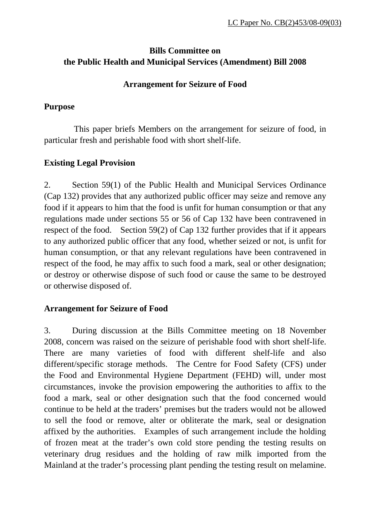## **Bills Committee on the Public Health and Municipal Services (Amendment) Bill 2008**

#### **Arrangement for Seizure of Food**

### **Purpose**

 This paper briefs Members on the arrangement for seizure of food, in particular fresh and perishable food with short shelf-life.

# **Existing Legal Provision**

2. Section 59(1) of the Public Health and Municipal Services Ordinance (Cap 132) provides that any authorized public officer may seize and remove any food if it appears to him that the food is unfit for human consumption or that any regulations made under sections 55 or 56 of Cap 132 have been contravened in respect of the food. Section 59(2) of Cap 132 further provides that if it appears to any authorized public officer that any food, whether seized or not, is unfit for human consumption, or that any relevant regulations have been contravened in respect of the food, he may affix to such food a mark, seal or other designation; or destroy or otherwise dispose of such food or cause the same to be destroyed or otherwise disposed of.

### **Arrangement for Seizure of Food**

3. During discussion at the Bills Committee meeting on 18 November 2008, concern was raised on the seizure of perishable food with short shelf-life. There are many varieties of food with different shelf-life and also different/specific storage methods. The Centre for Food Safety (CFS) under the Food and Environmental Hygiene Department (FEHD) will, under most circumstances, invoke the provision empowering the authorities to affix to the food a mark, seal or other designation such that the food concerned would continue to be held at the traders' premises but the traders would not be allowed to sell the food or remove, alter or obliterate the mark, seal or designation affixed by the authorities. Examples of such arrangement include the holding of frozen meat at the trader's own cold store pending the testing results on veterinary drug residues and the holding of raw milk imported from the Mainland at the trader's processing plant pending the testing result on melamine.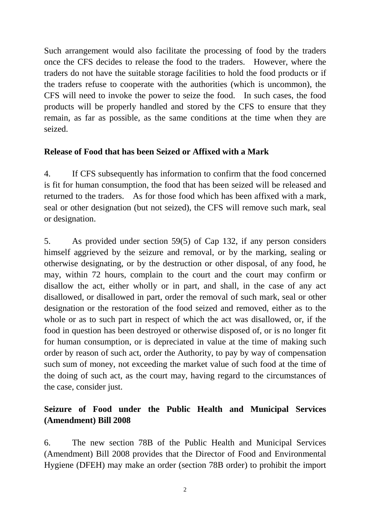Such arrangement would also facilitate the processing of food by the traders once the CFS decides to release the food to the traders. However, where the traders do not have the suitable storage facilities to hold the food products or if the traders refuse to cooperate with the authorities (which is uncommon), the CFS will need to invoke the power to seize the food. In such cases, the food products will be properly handled and stored by the CFS to ensure that they remain, as far as possible, as the same conditions at the time when they are seized.

#### **Release of Food that has been Seized or Affixed with a Mark**

4. If CFS subsequently has information to confirm that the food concerned is fit for human consumption, the food that has been seized will be released and returned to the traders. As for those food which has been affixed with a mark, seal or other designation (but not seized), the CFS will remove such mark, seal or designation.

5. As provided under section 59(5) of Cap 132, if any person considers himself aggrieved by the seizure and removal, or by the marking, sealing or otherwise designating, or by the destruction or other disposal, of any food, he may, within 72 hours, complain to the court and the court may confirm or disallow the act, either wholly or in part, and shall, in the case of any act disallowed, or disallowed in part, order the removal of such mark, seal or other designation or the restoration of the food seized and removed, either as to the whole or as to such part in respect of which the act was disallowed, or, if the food in question has been destroyed or otherwise disposed of, or is no longer fit for human consumption, or is depreciated in value at the time of making such order by reason of such act, order the Authority, to pay by way of compensation such sum of money, not exceeding the market value of such food at the time of the doing of such act, as the court may, having regard to the circumstances of the case, consider just.

# **Seizure of Food under the Public Health and Municipal Services (Amendment) Bill 2008**

6. The new section 78B of the Public Health and Municipal Services (Amendment) Bill 2008 provides that the Director of Food and Environmental Hygiene (DFEH) may make an order (section 78B order) to prohibit the import